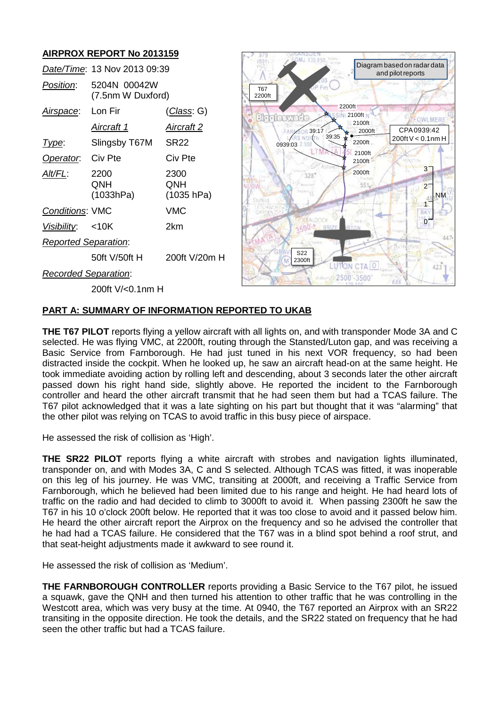# **AIRPROX REPORT No 2013159**



# **PART A: SUMMARY OF INFORMATION REPORTED TO UKAB**

**THE T67 PILOT** reports flying a yellow aircraft with all lights on, and with transponder Mode 3A and C selected. He was flying VMC, at 2200ft, routing through the Stansted/Luton gap, and was receiving a Basic Service from Farnborough. He had just tuned in his next VOR frequency, so had been distracted inside the cockpit. When he looked up, he saw an aircraft head-on at the same height. He took immediate avoiding action by rolling left and descending, about 3 seconds later the other aircraft passed down his right hand side, slightly above. He reported the incident to the Farnborough controller and heard the other aircraft transmit that he had seen them but had a TCAS failure. The T67 pilot acknowledged that it was a late sighting on his part but thought that it was "alarming" that the other pilot was relying on TCAS to avoid traffic in this busy piece of airspace.

He assessed the risk of collision as 'High'.

**THE SR22 PILOT** reports flying a white aircraft with strobes and navigation lights illuminated, transponder on, and with Modes 3A, C and S selected. Although TCAS was fitted, it was inoperable on this leg of his journey. He was VMC, transiting at 2000ft, and receiving a Traffic Service from Farnborough, which he believed had been limited due to his range and height. He had heard lots of traffic on the radio and had decided to climb to 3000ft to avoid it. When passing 2300ft he saw the T67 in his 10 o'clock 200ft below. He reported that it was too close to avoid and it passed below him. He heard the other aircraft report the Airprox on the frequency and so he advised the controller that he had had a TCAS failure. He considered that the T67 was in a blind spot behind a roof strut, and that seat-height adjustments made it awkward to see round it.

He assessed the risk of collision as 'Medium'.

**THE FARNBOROUGH CONTROLLER** reports providing a Basic Service to the T67 pilot, he issued a squawk, gave the QNH and then turned his attention to other traffic that he was controlling in the Westcott area, which was very busy at the time. At 0940, the T67 reported an Airprox with an SR22 transiting in the opposite direction. He took the details, and the SR22 stated on frequency that he had seen the other traffic but had a TCAS failure.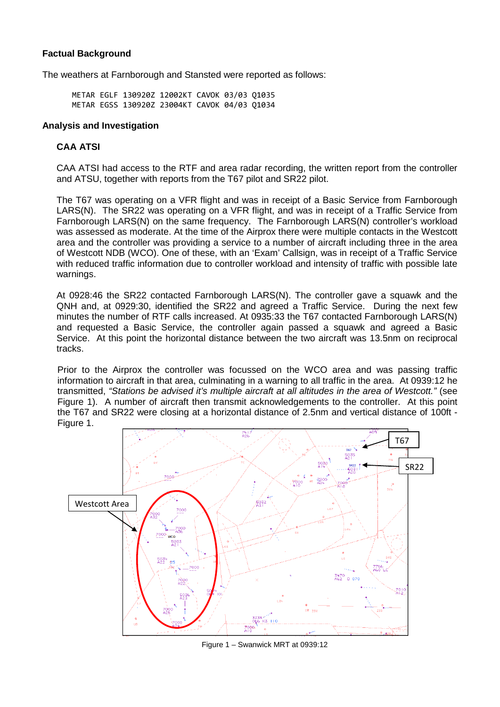# **Factual Background**

The weathers at Farnborough and Stansted were reported as follows:

METAR EGLF 130920Z 12002KT CAVOK 03/03 Q1035 METAR EGSS 130920Z 23004KT CAVOK 04/03 Q1034

## **Analysis and Investigation**

# **CAA ATSI**

CAA ATSI had access to the RTF and area radar recording, the written report from the controller and ATSU, together with reports from the T67 pilot and SR22 pilot.

The T67 was operating on a VFR flight and was in receipt of a Basic Service from Farnborough LARS(N). The SR22 was operating on a VFR flight, and was in receipt of a Traffic Service from Farnborough LARS(N) on the same frequency. The Farnborough LARS(N) controller's workload was assessed as moderate. At the time of the Airprox there were multiple contacts in the Westcott area and the controller was providing a service to a number of aircraft including three in the area of Westcott NDB (WCO). One of these, with an 'Exam' Callsign, was in receipt of a Traffic Service with reduced traffic information due to controller workload and intensity of traffic with possible late warnings.

At 0928:46 the SR22 contacted Farnborough LARS(N). The controller gave a squawk and the QNH and, at 0929:30, identified the SR22 and agreed a Traffic Service. During the next few minutes the number of RTF calls increased. At 0935:33 the T67 contacted Farnborough LARS(N) and requested a Basic Service, the controller again passed a squawk and agreed a Basic Service. At this point the horizontal distance between the two aircraft was 13.5nm on reciprocal tracks.

Prior to the Airprox the controller was focussed on the WCO area and was passing traffic information to aircraft in that area, culminating in a warning to all traffic in the area. At 0939:12 he transmitted, *"Stations be advised it's multiple aircraft at all altitudes in the area of Westcott."* (see Figure 1). A number of aircraft then transmit acknowledgements to the controller. At this point the T67 and SR22 were closing at a horizontal distance of 2.5nm and vertical distance of 100ft - Figure 1.



Figure 1 – Swanwick MRT at 0939:12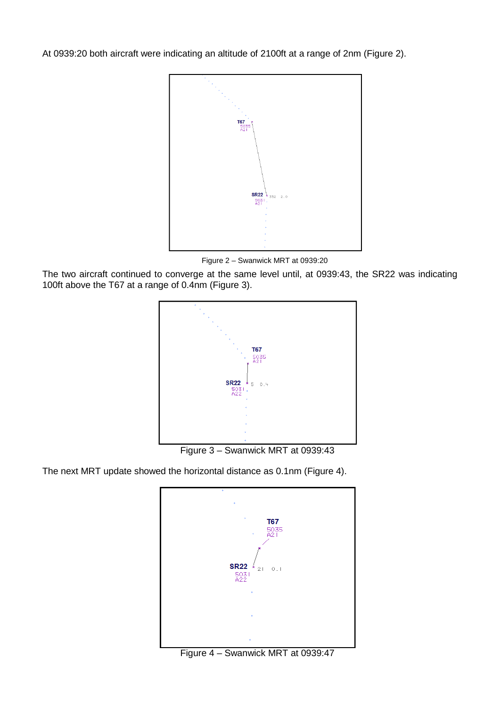At 0939:20 both aircraft were indicating an altitude of 2100ft at a range of 2nm (Figure 2).



Figure 2 – Swanwick MRT at 0939:20

The two aircraft continued to converge at the same level until, at 0939:43, the SR22 was indicating 100ft above the T67 at a range of 0.4nm (Figure 3).



Figure 3 – Swanwick MRT at 0939:43

The next MRT update showed the horizontal distance as 0.1nm (Figure 4).



Figure 4 – Swanwick MRT at 0939:47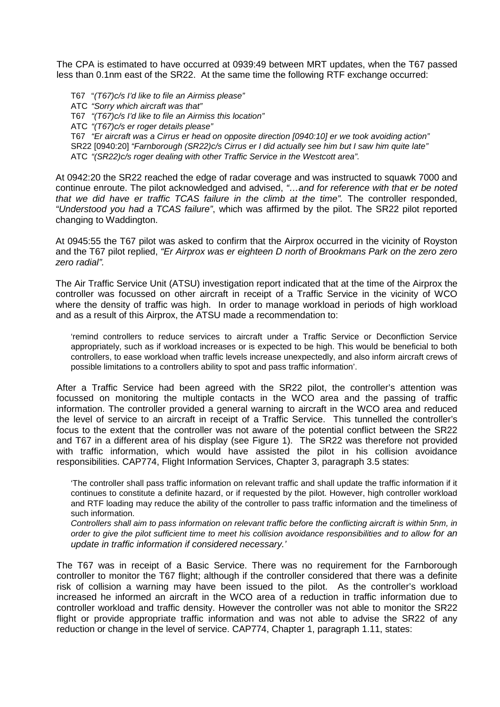The CPA is estimated to have occurred at 0939:49 between MRT updates, when the T67 passed less than 0.1nm east of the SR22. At the same time the following RTF exchange occurred:

T67 "*(T67)c/s I'd like to file an Airmiss please"* ATC *"Sorry which aircraft was that"* T67 *"(T67)c/s I'd like to file an Airmiss this location"* ATC *"(T67)c/s er roger details please"* T67 *"Er aircraft was a Cirrus er head on opposite direction [0940:10] er we took avoiding action"* SR22 [0940:20] *"Farnborough (SR22)c/s Cirrus er I did actually see him but I saw him quite late"* ATC *"(SR22)c/s roger dealing with other Traffic Service in the Westcott area".*

At 0942:20 the SR22 reached the edge of radar coverage and was instructed to squawk 7000 and continue enroute. The pilot acknowledged and advised, *"…and for reference with that er be noted that we did have er traffic TCAS failure in the climb at the time".* The controller responded, *"Understood you had a TCAS failure"*, which was affirmed by the pilot. The SR22 pilot reported changing to Waddington.

At 0945:55 the T67 pilot was asked to confirm that the Airprox occurred in the vicinity of Royston and the T67 pilot replied, *"Er Airprox was er eighteen D north of Brookmans Park on the zero zero zero radial".*

The Air Traffic Service Unit (ATSU) investigation report indicated that at the time of the Airprox the controller was focussed on other aircraft in receipt of a Traffic Service in the vicinity of WCO where the density of traffic was high. In order to manage workload in periods of high workload and as a result of this Airprox, the ATSU made a recommendation to:

'remind controllers to reduce services to aircraft under a Traffic Service or Deconfliction Service appropriately, such as if workload increases or is expected to be high. This would be beneficial to both controllers, to ease workload when traffic levels increase unexpectedly, and also inform aircraft crews of possible limitations to a controllers ability to spot and pass traffic information'.

After a Traffic Service had been agreed with the SR22 pilot, the controller's attention was focussed on monitoring the multiple contacts in the WCO area and the passing of traffic information. The controller provided a general warning to aircraft in the WCO area and reduced the level of service to an aircraft in receipt of a Traffic Service. This tunnelled the controller's focus to the extent that the controller was not aware of the potential conflict between the SR22 and T67 in a different area of his display (see Figure 1). The SR22 was therefore not provided with traffic information, which would have assisted the pilot in his collision avoidance responsibilities. CAP774, Flight Information Services, Chapter 3, paragraph 3.5 states:

'The controller shall pass traffic information on relevant traffic and shall update the traffic information if it continues to constitute a definite hazard, or if requested by the pilot. However, high controller workload and RTF loading may reduce the ability of the controller to pass traffic information and the timeliness of such information.

*Controllers shall aim to pass information on relevant traffic before the conflicting aircraft is within 5nm, in order to give the pilot sufficient time to meet his collision avoidance responsibilities and to allow for an update in traffic information if considered necessary.'*

The T67 was in receipt of a Basic Service. There was no requirement for the Farnborough controller to monitor the T67 flight; although if the controller considered that there was a definite risk of collision a warning may have been issued to the pilot. As the controller's workload increased he informed an aircraft in the WCO area of a reduction in traffic information due to controller workload and traffic density. However the controller was not able to monitor the SR22 flight or provide appropriate traffic information and was not able to advise the SR22 of any reduction or change in the level of service. CAP774, Chapter 1, paragraph 1.11, states: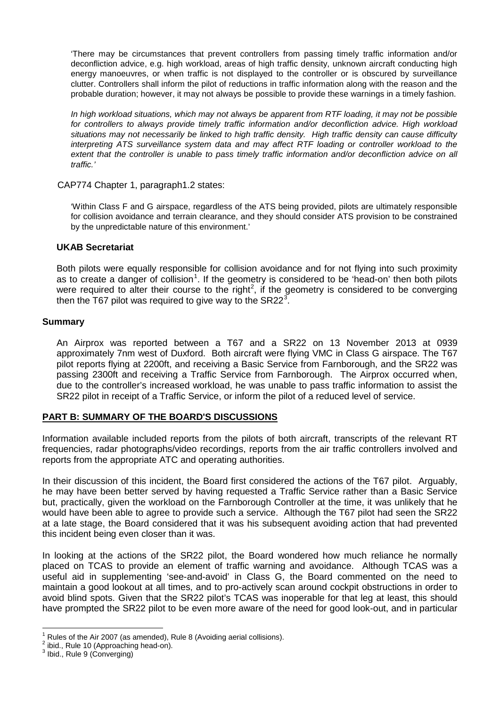'There may be circumstances that prevent controllers from passing timely traffic information and/or deconfliction advice, e.g. high workload, areas of high traffic density, unknown aircraft conducting high energy manoeuvres, or when traffic is not displayed to the controller or is obscured by surveillance clutter. Controllers shall inform the pilot of reductions in traffic information along with the reason and the probable duration; however, it may not always be possible to provide these warnings in a timely fashion.

*In high workload situations, which may not always be apparent from RTF loading, it may not be possible for controllers to always provide timely traffic information and/or deconfliction advice. High workload situations may not necessarily be linked to high traffic density. High traffic density can cause difficulty interpreting ATS surveillance system data and may affect RTF loading or controller workload to the extent that the controller is unable to pass timely traffic information and/or deconfliction advice on all traffic.'*

CAP774 Chapter 1, paragraph1.2 states:

'Within Class F and G airspace, regardless of the ATS being provided, pilots are ultimately responsible for collision avoidance and terrain clearance, and they should consider ATS provision to be constrained by the unpredictable nature of this environment.'

## **UKAB Secretariat**

Both pilots were equally responsible for collision avoidance and for not flying into such proximity as to create a danger of collision<sup>[1](#page-4-0)</sup>. If the geometry is considered to be 'head-on' then both pilots were required to alter their course to the right<sup>[2](#page-4-1)</sup>, if the geometry is considered to be converging then the T67 pilot was required to give way to the SR22 $^3$  $^3$ .

#### **Summary**

An Airprox was reported between a T67 and a SR22 on 13 November 2013 at 0939 approximately 7nm west of Duxford. Both aircraft were flying VMC in Class G airspace. The T67 pilot reports flying at 2200ft, and receiving a Basic Service from Farnborough, and the SR22 was passing 2300ft and receiving a Traffic Service from Farnborough. The Airprox occurred when, due to the controller's increased workload, he was unable to pass traffic information to assist the SR22 pilot in receipt of a Traffic Service, or inform the pilot of a reduced level of service.

## **PART B: SUMMARY OF THE BOARD'S DISCUSSIONS**

Information available included reports from the pilots of both aircraft, transcripts of the relevant RT frequencies, radar photographs/video recordings, reports from the air traffic controllers involved and reports from the appropriate ATC and operating authorities.

In their discussion of this incident, the Board first considered the actions of the T67 pilot. Arguably, he may have been better served by having requested a Traffic Service rather than a Basic Service but, practically, given the workload on the Farnborough Controller at the time, it was unlikely that he would have been able to agree to provide such a service. Although the T67 pilot had seen the SR22 at a late stage, the Board considered that it was his subsequent avoiding action that had prevented this incident being even closer than it was.

In looking at the actions of the SR22 pilot, the Board wondered how much reliance he normally placed on TCAS to provide an element of traffic warning and avoidance. Although TCAS was a useful aid in supplementing 'see-and-avoid' in Class G, the Board commented on the need to maintain a good lookout at all times, and to pro-actively scan around cockpit obstructions in order to avoid blind spots. Given that the SR22 pilot's TCAS was inoperable for that leg at least, this should have prompted the SR22 pilot to be even more aware of the need for good look-out, and in particular

<span id="page-4-0"></span><sup>&</sup>lt;sup>1</sup> Rules of the Air 2007 (as amended), Rule 8 (Avoiding aerial collisions).<br>
<sup>2</sup> ibid., Rule 10 (Approaching head-on).<br>
<sup>3</sup> Ibid., Rule 9 (Converging)

<span id="page-4-1"></span>

<span id="page-4-2"></span>